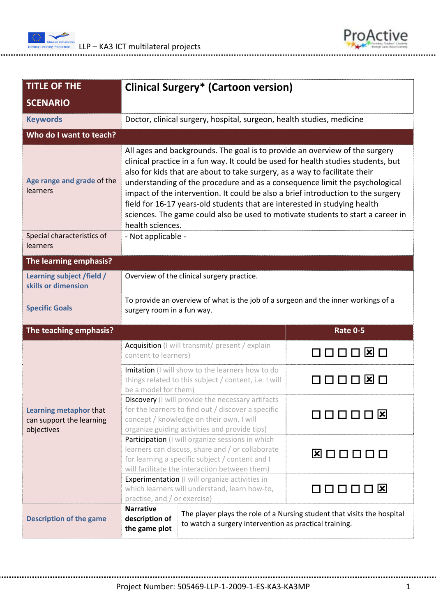



| <b>TITLE OF THE</b>                                              | <b>Clinical Surgery* (Cartoon version)</b>                                                                                                                                                                                                                                                                                                                                                                                                                                                                                                                                                            |                   |  |  |
|------------------------------------------------------------------|-------------------------------------------------------------------------------------------------------------------------------------------------------------------------------------------------------------------------------------------------------------------------------------------------------------------------------------------------------------------------------------------------------------------------------------------------------------------------------------------------------------------------------------------------------------------------------------------------------|-------------------|--|--|
| <b>SCENARIO</b>                                                  |                                                                                                                                                                                                                                                                                                                                                                                                                                                                                                                                                                                                       |                   |  |  |
| <b>Keywords</b>                                                  | Doctor, clinical surgery, hospital, surgeon, health studies, medicine                                                                                                                                                                                                                                                                                                                                                                                                                                                                                                                                 |                   |  |  |
| Who do I want to teach?                                          |                                                                                                                                                                                                                                                                                                                                                                                                                                                                                                                                                                                                       |                   |  |  |
| Age range and grade of the<br>learners                           | All ages and backgrounds. The goal is to provide an overview of the surgery<br>clinical practice in a fun way. It could be used for health studies students, but<br>also for kids that are about to take surgery, as a way to facilitate their<br>understanding of the procedure and as a consequence limit the psychological<br>impact of the intervention. It could be also a brief introduction to the surgery<br>field for 16-17 years-old students that are interested in studying health<br>sciences. The game could also be used to motivate students to start a career in<br>health sciences. |                   |  |  |
| Special characteristics of<br><b>learners</b>                    | - Not applicable -                                                                                                                                                                                                                                                                                                                                                                                                                                                                                                                                                                                    |                   |  |  |
| The learning emphasis?                                           |                                                                                                                                                                                                                                                                                                                                                                                                                                                                                                                                                                                                       |                   |  |  |
| Learning subject /field /<br>skills or dimension                 | Overview of the clinical surgery practice.                                                                                                                                                                                                                                                                                                                                                                                                                                                                                                                                                            |                   |  |  |
| <b>Specific Goals</b>                                            | To provide an overview of what is the job of a surgeon and the inner workings of a<br>surgery room in a fun way.                                                                                                                                                                                                                                                                                                                                                                                                                                                                                      |                   |  |  |
| The teaching emphasis?                                           |                                                                                                                                                                                                                                                                                                                                                                                                                                                                                                                                                                                                       | <b>Rate 0-5</b>   |  |  |
| Learning metaphor that<br>can support the learning<br>objectives | Acquisition (I will transmit/ present / explain<br>content to learners)                                                                                                                                                                                                                                                                                                                                                                                                                                                                                                                               | <b>コロロ区</b> ロ     |  |  |
|                                                                  | Imitation (I will show to the learners how to do<br>things related to this subject / content, i.e. I will<br>be a model for them)                                                                                                                                                                                                                                                                                                                                                                                                                                                                     | $\mathbf{x}$<br>. |  |  |
|                                                                  | Discovery (I will provide the necessary artifacts<br>for the learners to find out / discover a specific<br>concept / knowledge on their own. I will<br>organize guiding activities and provide tips)                                                                                                                                                                                                                                                                                                                                                                                                  | <b>QOOOO 8</b>    |  |  |
|                                                                  | Participation (I will organize sessions in which<br>learners can discuss, share and / or collaborate<br>for learning a specific subject / content and I<br>will facilitate the interaction between them)                                                                                                                                                                                                                                                                                                                                                                                              | <b>X</b> DOOOO    |  |  |
|                                                                  | Experimentation (I will organize activities in<br>which learners will understand, learn how-to,<br>practise, and / or exercise)                                                                                                                                                                                                                                                                                                                                                                                                                                                                       | <b>□□□□□⊠</b>     |  |  |
| <b>Description of the game</b>                                   | <b>Narrative</b><br>The player plays the role of a Nursing student that visits the hospital<br>description of<br>to watch a surgery intervention as practical training.<br>the game plot                                                                                                                                                                                                                                                                                                                                                                                                              |                   |  |  |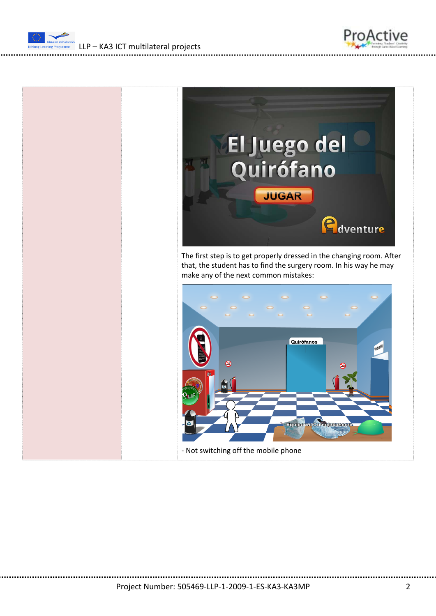

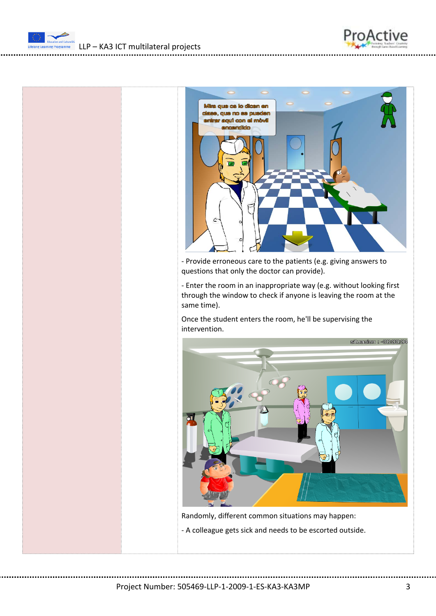![](_page_2_Picture_0.jpeg)

LLP – KA3 ICT multilateral projects

![](_page_2_Picture_3.jpeg)

‐ Enter the room in an inappropriate way (e.g. without looking first through the window to check if anyone is leaving the room at the same time).

Once the student enters the room, he'll be supervising the intervention.

![](_page_2_Picture_6.jpeg)

Randomly, different common situations may happen: ‐ A colleague gets sick and needs to be escorted outside.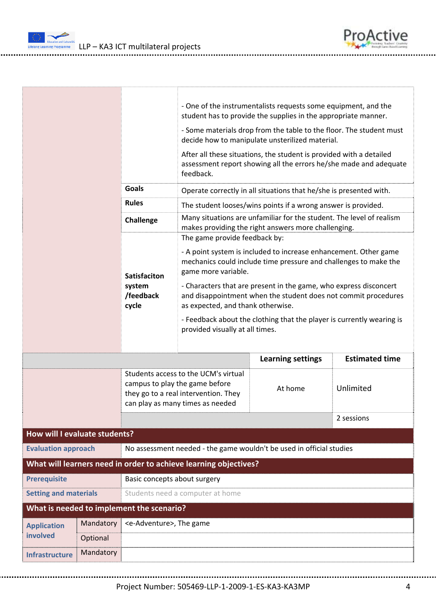LLP – KA3 ICT multilateral projects

ing Progra

|                                                     |                                                                                                    |                                                                                                                                                    | - One of the instrumentalists requests some equipment, and the<br>student has to provide the supplies in the appropriate manner.                                         |                          |                       |  |
|-----------------------------------------------------|----------------------------------------------------------------------------------------------------|----------------------------------------------------------------------------------------------------------------------------------------------------|--------------------------------------------------------------------------------------------------------------------------------------------------------------------------|--------------------------|-----------------------|--|
|                                                     |                                                                                                    |                                                                                                                                                    | - Some materials drop from the table to the floor. The student must<br>decide how to manipulate unsterilized material.                                                   |                          |                       |  |
|                                                     |                                                                                                    |                                                                                                                                                    | After all these situations, the student is provided with a detailed<br>assessment report showing all the errors he/she made and adequate<br>feedback.                    |                          |                       |  |
|                                                     |                                                                                                    | <b>Goals</b>                                                                                                                                       | Operate correctly in all situations that he/she is presented with.                                                                                                       |                          |                       |  |
|                                                     |                                                                                                    | <b>Rules</b>                                                                                                                                       | The student looses/wins points if a wrong answer is provided.                                                                                                            |                          |                       |  |
|                                                     |                                                                                                    | Challenge                                                                                                                                          | Many situations are unfamiliar for the student. The level of realism<br>makes providing the right answers more challenging.                                              |                          |                       |  |
|                                                     |                                                                                                    |                                                                                                                                                    | The game provide feedback by:                                                                                                                                            |                          |                       |  |
|                                                     |                                                                                                    | <b>Satisfaciton</b><br>system<br>/feedback<br>cycle                                                                                                | - A point system is included to increase enhancement. Other game<br>mechanics could include time pressure and challenges to make the<br>game more variable.              |                          |                       |  |
|                                                     |                                                                                                    |                                                                                                                                                    | - Characters that are present in the game, who express disconcert<br>and disappointment when the student does not commit procedures<br>as expected, and thank otherwise. |                          |                       |  |
|                                                     |                                                                                                    |                                                                                                                                                    | - Feedback about the clothing that the player is currently wearing is<br>provided visually at all times.                                                                 |                          |                       |  |
|                                                     |                                                                                                    |                                                                                                                                                    |                                                                                                                                                                          | <b>Learning settings</b> | <b>Estimated time</b> |  |
|                                                     |                                                                                                    | Students access to the UCM's virtual<br>campus to play the game before<br>they go to a real intervention. They<br>can play as many times as needed |                                                                                                                                                                          | At home                  | Unlimited             |  |
|                                                     |                                                                                                    |                                                                                                                                                    |                                                                                                                                                                          | 2 sessions               |                       |  |
| How will I evaluate students?                       |                                                                                                    |                                                                                                                                                    |                                                                                                                                                                          |                          |                       |  |
|                                                     | No assessment needed - the game wouldn't be used in official studies<br><b>Evaluation approach</b> |                                                                                                                                                    |                                                                                                                                                                          |                          |                       |  |
|                                                     |                                                                                                    |                                                                                                                                                    | What will learners need in order to achieve learning objectives?                                                                                                         |                          |                       |  |
| <b>Prerequisite</b><br>Basic concepts about surgery |                                                                                                    |                                                                                                                                                    |                                                                                                                                                                          |                          |                       |  |
| <b>Setting and materials</b>                        |                                                                                                    |                                                                                                                                                    | Students need a computer at home                                                                                                                                         |                          |                       |  |
|                                                     |                                                                                                    | What is needed to implement the scenario?                                                                                                          |                                                                                                                                                                          |                          |                       |  |
| <b>Application</b>                                  | Mandatory                                                                                          | <e-adventure>, The game</e-adventure>                                                                                                              |                                                                                                                                                                          |                          |                       |  |
| involved                                            | Optional                                                                                           |                                                                                                                                                    |                                                                                                                                                                          |                          |                       |  |
| <b>Infrastructure</b>                               | Mandatory                                                                                          |                                                                                                                                                    |                                                                                                                                                                          |                          |                       |  |
|                                                     |                                                                                                    |                                                                                                                                                    |                                                                                                                                                                          |                          |                       |  |

ProActive